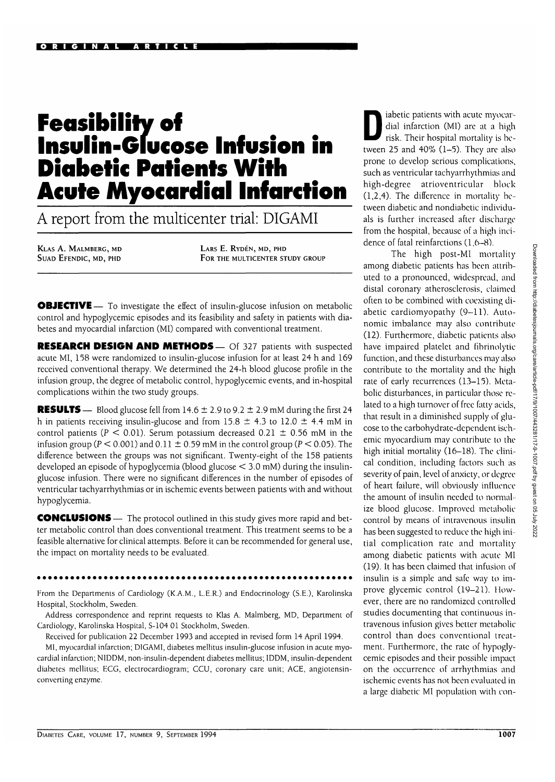# **Feasibility of Insulin-Glucose Infusion in Diabetic Patients With Acute Myocardial Infarction**

A report from the multicenter trial: DIGAMI

KLAS A. MALMBERG, MD SUAD EFEND1C, MD, PHD

LARS E. RYDEN, MD, PHD FOR THE MULTICENTER STUDY GROUP

**OBJECTIVE** — To investigate the effect of insulin-glucose infusion on metabolic control and hypoglycemic episodes and its feasibility and safety in patients with diabetes and myocardial infarction (MI) compared with conventional treatment.

RESEARCH DESIGN AND METHODS— Of 327 patients with suspected acute MI, 158 were randomized to insulin-glucose infusion for at least 24 h and 169 received conventional therapy. We determined the 24-h blood glucose profile in the infusion group, the degree of metabolic control, hypoglycemic events, and in-hospital complications within the two study groups.

**RESULTS** — Blood glucose fell from 14.6  $\pm$  2.9 to 9.2  $\pm$  2.9 mM during the first 24 h in patients receiving insulin-glucose and from  $15.8 \pm 4.3$  to  $12.0 \pm 4.4$  mM in control patients ( $P < 0.01$ ). Serum potassium decreased 0.21  $\pm$  0.56 mM in the infusion group ( $P < 0.001$ ) and  $0.11 \pm 0.59$  mM in the control group ( $P < 0.05$ ). The difference between the groups was not significant. Twenty-eight of the 158 patients developed an episode of hypoglycemia (blood glucose < 3.0 mM) during the insulinglucose infusion. There were no significant differences in the number of episodes of ventricular tachyarrhythmias or in ischemic events between patients with and without hypoglycemia.

CONCLUSIONS — The protocol outlined in this study gives more rapid and better metabolic control than does conventional treatment. This treatment seems to be a feasible alternative for clinical attempts. Before it can be recommended for general use, the impact on mortality needs to be evaluated.

............................

From the Departments of Cardiology (K.A.M., L.E.R.) and Endocrinology (S.E.), Karolinska Hospital, Stockholm, Sweden.

Address correspondence and reprint requests to Klas A. Malmberg, MD, Department of Cardiology, Karolinska Hospital, S-104 01 Stockholm, Sweden.

Received for publication 22 December 1993 and accepted in revised form 14 April 1994.

Ml, myocardial infarction; DIGAMI, diabetes mellitus insulin-glucose infusion in acute myocardial infarction; NIDDM, non-insulin-dependent diabetes mellitus; IDDM, insulin-dependent diabetes mellitus; ECG, electrocardiogram; CCU, coronary care unit; ACE, angiotensinconverting enzyme.

abetic patients with acute myocar-<br>dial infarction (MI) are at a high<br>risk. Their hospital mortality is bedial infarction (MI) are at a high risk. Their hospital mortality is between  $25$  and  $40\%$  (1-5). They are also prone to develop serious complications, such as ventricular tachyarrhythmias and high-degree atrioventricular block  $(1,2,4)$ . The difference in mortality between diabetic and nondiabetic individuals is further increased after discharge from the hospital, because of a high incidence of fatal reinfarctions (1,6-8).

The high post-MI mortality among diabetic patients has been attributed to a pronounced, widespread, and distal coronary atherosclerosis, claimed often to be combined with coexisting diabetic cardiomyopathy (9-11). Autonomic imbalance may also contribute (12). Furthermore, diabetic patients also have impaired platelet and fibrinolytic function, and these disturbances may also contribute to the mortality and the high rate of early recurrences (13-15). Metabolic disturbances, in particular those related to a high turnover of free fatty acids, that result in a diminished supply of glucose to the carbohydrate-dependent ischemic myocardium may contribute to the high initial mortality (16-18). The clinical condition, including factors such as severity of pain, level of anxiety, or degree of heart failure, will obviously influence the amount of insulin needed to normalize blood glucose. Improved metabolic control by means of intravenous insulin has been suggested to reduce the high initial complication rate and mortality among diabetic patients with acute MI (19). It has been claimed that infusion of insulin is a simple and safe way to improve glycemic control (19-21). However, there are no randomized controlled studies documenting that continuous intravenous infusion gives better metabolic control than does conventional treatcontrol than does conventional treat-<br>ment. Furthermore, the rate of hypoglycemic episodes and their possible impact on the occurrence of arrhythmias and ischemic events has not been evaluated in a large diabetic MI population with con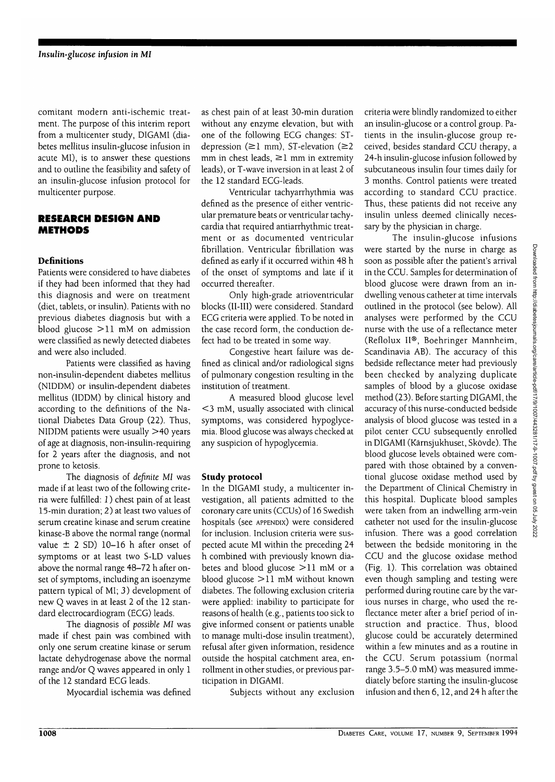comitant modern anti-ischemic treatment. The purpose of this interim report from a multicenter study, DIGAMI (diabetes mellitus insulin-glucose infusion in acute MI), is to answer these questions and to outline the feasibility and safety of an insulin-glucose infusion protocol for multicenter purpose.

## **RESEARCH DESIGN AND METHODS**

## **Definitions**

Patients were considered to have diabetes if they had been informed that they had this diagnosis and were on treatment (diet, tablets, or insulin). Patients with no previous diabetes diagnosis but with a blood glucose >11 mM on admission were classified as newly detected diabetes and were also included.

Patients were classified as having non-insulin-dependent diabetes mellitus (NIDDM) or insulin-dependent diabetes mellitus (IDDM) by clinical history and according to the definitions of the National Diabetes Data Group (22). Thus, NIDDM patients were usually >40 years of age at diagnosis, non-insulin-requiring for 2 years after the diagnosis, and not prone to ketosis.

The diagnosis of *definite Ml* was made if at least two of the following criteria were fulfilled: *1*) chest pain of at least 15-min duration; 2) at least two values of serum creatine kinase and serum creatine kinase-B above the normal range (normal value  $\pm$  2 SD) 10-16 h after onset of symptoms or at least two S-LD values above the normal range 48-72 h after onset of symptoms, including an isoenzyme pattern typical of MI; 3) development of new Q waves in at least 2 of the 12 standard electrocardiogram (ECG) leads.

The diagnosis of *possible* MI was made if chest pain was combined with only one serum creatine kinase or serum lactate dehydrogenase above the normal range and/or Q waves appeared in only 1 of the 12 standard ECG leads.

Myocardial ischemia was defined

as chest pain of at least 30-min duration without any enzyme elevation, but with one of the following ECG changes: STdepression ( $\geq$ 1 mm), ST-elevation ( $\geq$ 2 mm in chest leads,  $\geq$  1 mm in extremity leads), or T-wave inversion in at least 2 of the 12 standard ECG-leads.

Ventricular tachyarrhythmia was defined as the presence of either ventricular premature beats or ventricular tachycardia that required antiarrhythmic treatment or as documented ventricular fibrillation. Ventricular fibrillation was defined as early if it occurred within 48 h of the onset of symptoms and late if it occurred thereafter.

Only high-grade atrioventricular blocks (II-III) were considered. Standard ECG criteria were applied. To be noted in the case record form, the conduction defect had to be treated in some way.

Congestive heart failure was defined as clinical and/or radiological signs of pulmonary congestion resulting in the institution of treatment.

A measured blood glucose level <3 mM, usually associated with clinical symptoms, was considered hypoglycemia. Blood glucose was always checked at any suspicion of hypoglycemia.

## **Study protocol**

In the DIGAMI study, a multicenter investigation, all patients admitted to the coronary care units (CCUs) of 16 Swedish hospitals (see APPENDIX) were considered for inclusion. Inclusion criteria were suspected acute MI within the preceding 24 h combined with previously known diabetes and blood glucose >11 mM or a blood glucose >11 mM without known diabetes. The following exclusion criteria were applied: inability to participate for reasons of health (e.g., patients too sick to give informed consent or patients unable to manage multi-dose insulin treatment), refusal after given information, residence outside the hospital catchment area, enrollment in other studies, or previous participation in DIGAMI.

Subjects without any exclusion

criteria were blindly randomized to either an insulin-glucose or a control group. Patients in the insulin-glucose group received, besides standard CCU therapy, a 24-h insulin-glucose infusion followed by subcutaneous insulin four times daily for 3 months. Control patients were treated according to standard CCU practice. Thus, these patients did not receive any insulin unless deemed clinically necessary by the physician in charge.

The insulin-glucose infusions were started by the nurse in charge as soon as possible after the patient's arrival in the CCU. Samples for determination of blood glucose were drawn from an indwelling venous catheter at time intervals outlined in the protocol (see below). All analyses were performed by the CCU nurse with the use of a reflectance meter (Reflolux II®, Boehringer Mannheim, Scandinavia AB). The accuracy of this bedside reflectance meter had previously been checked by analyzing duplicate samples of blood by a glucose oxidase method (23). Before starting DIGAMI, the accuracy of this nurse-conducted bedside analysis of blood glucose was tested in a pilot center CCU subsequently enrolled in DIGAMI (Karnsjukhuset, Skovde). The blood glucose levels obtained were compared with those obtained by a conventional glucose oxidase method used by the Department of Clinical Chemistry in this hospital. Duplicate blood samples were taken from an indwelling arm-vein catheter not used for the insulin-glucose infusion. There was a good correlation between the bedside monitoring in the CCU and the glucose oxidase method (Fig. 1). This correlation was obtained even though sampling and testing were performed during routine care by the various nurses in charge, who used the reflectance meter after a brief period of instruction and practice. Thus, blood glucose could be accurately determined within a few minutes and as a routine in the CCU. Serum potassium (normal range 3.5-5.0 mM) was measured immediately before starting the insulin-glucose infusion and then 6,12, and 24 h after the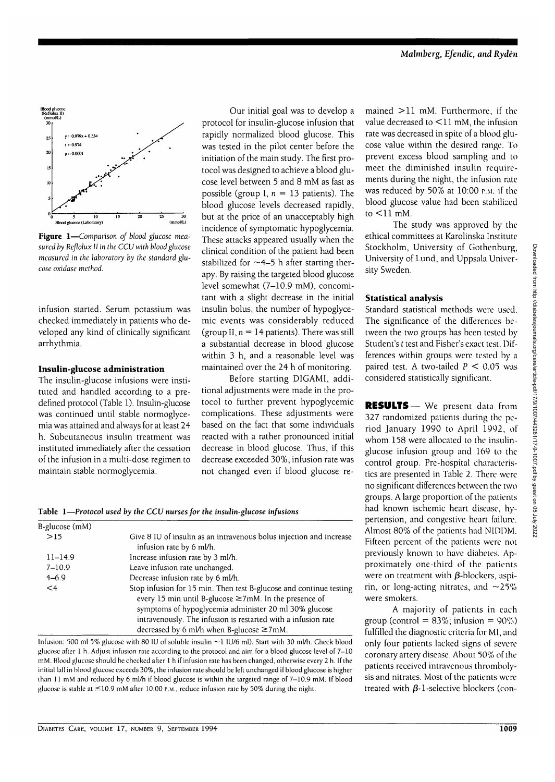

**Figure 1**—*Comparison of blood glucose measured by Rejlolux II in the CCU with blood glucose measured in the laboratory by the standard glucose oxidase method.*

infusion started. Serum potassium was checked immediately in patients who developed any kind of clinically significant arrhythmia.

## **Insulin-glucose administration**

The insulin-glucose infusions were instituted and handled according to a predefined protocol (Table 1). Insulin-glucose was continued until stable normoglycemia was attained and always for at least 24 h. Subcutaneous insulin treatment was instituted immediately after the cessation of the infusion in a multi-dose regimen to maintain stable normoglycemia.

Our initial goal was to develop a protocol for insulin-glucose infusion that rapidly normalized blood glucose. This was tested in the pilot center before the initiation of the main study. The first protocol was designed to achieve a blood glucose level between 5 and 8 mM as fast as possible (group I,  $n = 13$  patients). The blood glucose levels decreased rapidly, but at the price of an unacceptably high incidence of symptomatic hypoglycemia. These attacks appeared usually when the clinical condition of the patient had been stabilized for  $\sim$ 4-5 h after starting therapy. By raising the targeted blood glucose level somewhat (7-10.9 mM), concomitant with a slight decrease in the initial insulin bolus, the number of hypoglycemic events was considerably reduced (group II,  $n = 14$  patients). There was still a substantial decrease in blood glucose within 3 h, and a reasonable level was maintained over the 24 h of monitoring.

Before starting DIGAMI, additional adjustments were made in the protocol to further prevent hypoglycemic complications. These adjustments were based on the fact that some individuals reacted with a rather pronounced initial decrease in blood glucose. Thus, if this decrease exceeded 30%, infusion rate was not changed even if blood glucose remained >11 mM. Furthermore, if the value decreased to <11 mM, the infusion rate was decreased in spite of a blood glucose value within the desired range. To prevent excess blood sampling and to meet the diminished insulin requirements during the night, the infusion rate was reduced by 50% at 10:00 P.M. if the blood glucose value had been stabilized to  $\leq$ 11 mM.

The study was approved by the ethical committees at Karolinska Institute Stockholm, University of Gothenburg, University of Lund, and Uppsala University Sweden.

## **Statistical analysis**

Standard statistical methods were used. The significance of the differences between the two groups has been tested by Student's *t* test and Fisher's exact test. Differences within groups were tested by a paired test. A two-tailed  $P < 0.05$  was considered statistically significant.

**RESULTS**— We present data from 327 randomized patients during the period January 1990 to April 1992, of whom 158 were allocated to the insulinglucose infusion group and 169 to the control group. Pre-hospital characteristics are presented in Table 2. There were no significant differences between the two groups. A large proportion of the patients had known ischemic heart disease, hypertension, and congestive heart failure. Almost 80% of the patients had NIDDM. Fifteen percent of the patients were not previously known to have diabetes. Approximately one-third of the patients were on treatment with  $\beta$ -blockers, aspirin, or long-acting nitrates, and  $\sim$ 25% were smokers.

A majority of patients in each group (control =  $83\%$ ; infusion =  $90\%$ ) fulfilled the diagnostic criteria for MI, and only four patients lacked signs of severe coronary artery disease. About 50% of the patients received intravenous thrombolysis and nitrates. Most of the patients were treated with  $\beta$ -1-selective blockers (con-

| Table 1-Protocol used by the CCU nurses for the insulin-glucose infusions |  |
|---------------------------------------------------------------------------|--|
|---------------------------------------------------------------------------|--|

| B-glucose (mM) |                                                                                                                                                                                            |
|----------------|--------------------------------------------------------------------------------------------------------------------------------------------------------------------------------------------|
| >15            | Give 8 IU of insulin as an intravenous bolus injection and increase<br>infusion rate by 6 ml/h.                                                                                            |
| $11 - 14.9$    | Increase infusion rate by 3 ml/h.                                                                                                                                                          |
| $7 - 10.9$     | Leave infusion rate unchanged.                                                                                                                                                             |
| $4 - 6.9$      | Decrease infusion rate by 6 ml/h.                                                                                                                                                          |
| $\leq 4$       | Stop infusion for 15 min. Then test B-glucose and continue testing<br>every 15 min until B-glucose $\geq$ 7mM. In the presence of<br>symptoms of hypoglycemia administer 20 ml 30% glucose |
|                | intravenously. The infusion is restarted with a infusion rate<br>decreased by 6 ml/h when B-glucose $\ge$ 7 mM.                                                                            |

Infusion: 500 ml 5% glucose with 80 IU of soluble insulin ~1 1U/6 ml). Start with 30 ml/h. Check blood glucose after 1 h. Adjust infusion rate according to the protocol and aim for a blood glucose level of 7-10 mM. Blood glucose should be checked after 1 h if infusion rate has been changed, otherwise every 2 h. If the initial fall in blood glucose exceeds 30%, the infusion rate should be left unchanged if blood glucose is higher than 11 mM and reduced by 6 ml/h if blood glucose is within the targeted range of 7-10.9 mM. If blood glucose is stable at <10.9 mM after 10:00 P.M., reduce infusion rate by 50% during the night.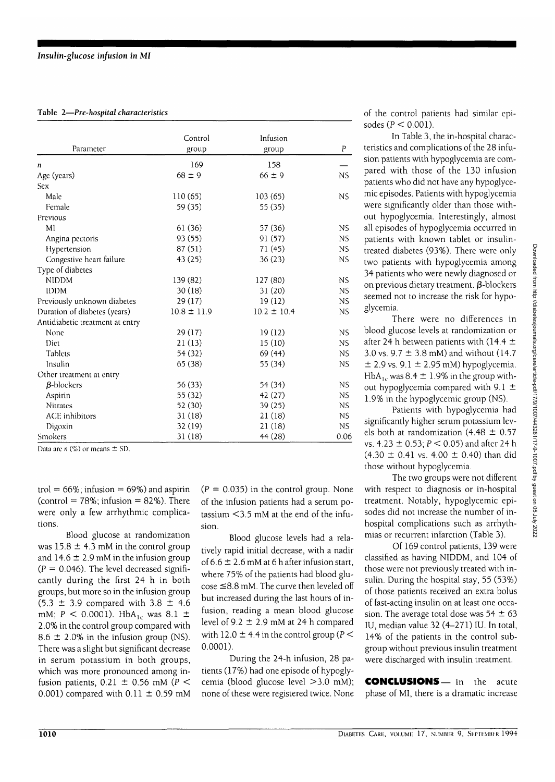#### Table 2—*Pre-hospital characteristics*

|                                 | Control         | Infusion        |           |
|---------------------------------|-----------------|-----------------|-----------|
| Parameter                       | group           | group           | P         |
| n                               | 169             | 158             |           |
| Age (years)                     | $68 \pm 9$      | $66 \pm 9$      | <b>NS</b> |
| Sex                             |                 |                 |           |
| Male                            | 110(65)         | 103(65)         | <b>NS</b> |
| Female                          | 59 (35)         | 55 (35)         |           |
| Previous                        |                 |                 |           |
| Ml                              | 61 (36)         | 57 (36)         | NS.       |
| Angina pectoris                 | 93 (55)         | 91(57)          | NS.       |
| Hypertension                    | 87(51)          | 71 (45)         | NS.       |
| Congestive heart failure        | 43 (25)         | 36(23)          | <b>NS</b> |
| Type of diabetes                |                 |                 |           |
| <b>NIDDM</b>                    | 139 (82)        | 127 (80)        | NS.       |
| <b>IDDM</b>                     | 30(18)          | 31(20)          | NS.       |
| Previously unknown diabetes     | 29(17)          | 19(12)          | <b>NS</b> |
| Duration of diabetes (years)    | $10.8 \pm 11.9$ | $10.2 \pm 10.4$ | <b>NS</b> |
| Antidiabetic treatment at entry |                 |                 |           |
| None                            | 29 (17)         | 19(12)          | NS.       |
| Diet                            | 21(13)          | 15(10)          | NS.       |
| Tablets                         | 54 (32)         | 69 (44)         | NS.       |
| Insulin                         | 65 (38)         | 55 (34)         | <b>NS</b> |
| Other treatment at entry        |                 |                 |           |
| $\beta$ -blockers               | 56 (33)         | 54 (34)         | NS.       |
| Aspirin                         | 55 (32)         | 42 (27)         | <b>NS</b> |
| <b>Nitrates</b>                 | 52 (30)         | 39(25)          | NS.       |
| <b>ACE</b> inhibitors           | 31(18)          | 21 (18)         | <b>NS</b> |
| Digoxin                         | 32 (19)         | 21 (18)         | NS.       |
| Smokers                         | 31(18)          | 44 (28)         | 0.06      |

Data are  $n$  (%) or means  $\pm$  SD.

trol =  $66\%$ ; infusion =  $69\%$ ) and aspirin (control  $= 78\%$ ; infusion  $= 82\%$ ). There were only a few arrhythmic complications.

Blood glucose at randomization was  $15.8 \pm 4.3$  mM in the control group and 14.6  $\pm$  2.9 mM in the infusion group  $(P = 0.046)$ . The level decreased significantly during the first 24 h in both groups, but more so in the infusion group  $(5.3 \pm 3.9 \text{ compared with } 3.8 \pm 4.6$ mM;  $P < 0.0001$ ). HbA<sub>1c</sub> was 8.1  $\pm$ 2.0% in the control group compared with  $8.6 \pm 2.0\%$  in the infusion group (NS). There was a slight but significant decrease in serum potassium in both groups, which was more pronounced among infusion patients,  $0.21 \pm 0.56$  mM (P < 0.001) compared with  $0.11 \pm 0.59$  mM

 $(P = 0.035)$  in the control group. None of the infusion patients had a serum potassium <3.5 mM at the end of the infu-

sion. Blood glucose levels had a relatively rapid initial decrease, with a nadir of  $6.6 \pm 2.6$  mM at 6 h after infusion start, where 75% of the patients had blood glu- $\cos \epsilon \leq 8.8$  mM. The curve then leveled off but increased during the last hours of infusion, reading a mean blood glucose level of 9.2  $\pm$  2.9 mM at 24 h compared with 12.0  $\pm$  4.4 in the control group ( $P$  < 0.0001).

During the 24-h infusion, 28 patients (17%) had one episode of hypoglycemia (blood glucose level >3.0 mM); none of these were registered twice. None of the control patients had similar episodes ( $P < 0.001$ ).

In Table 3, the in-hospital characteristics and complications of the 28 infusion patients with hypoglycemia are compared with those of the 130 infusion patients who did not have any hypoglycemic episodes. Patients with hypoglycemia were significantly older than those without hypoglycemia. Interestingly, almost all episodes of hypoglycemia occurred in patients with known tablet or insulintreated diabetes (93%). There were only two patients with hypoglycemia among 34 patients who were newly diagnosed or on previous dietary treatment.  $\beta$ -blockers seemed not to increase the risk for hypoglycemia.

There were no differences in blood glucose levels at randomization or after 24 h between patients with (14.4  $\pm$ 3.0 vs. 9.7 ± 3.8 mM) and without (14.7  $±$  2.9 vs. 9.1  $±$  2.95 mM) hypoglycemia. HbA<sub>1c</sub> was  $8.4 \pm 1.9\%$  in the group without hypoglycemia compared with 9.1  $\pm$ 1.9% in the hypoglycemic group (NS).

Patients with hypoglycemia had significantly higher serum potassium levels both at randomization (4.48  $\pm$  0.57 vs.  $4.23 \pm 0.53$ ;  $P < 0.05$ ) and after 24 h  $(4.30 \pm 0.41 \text{ vs. } 4.00 \pm 0.40)$  than did those without hypoglycemia.

The two groups were not different with respect to diagnosis or in-hospital treatment. Notably, hypoglycemic episodes did not increase the number of inhospital complications such as arrhythmias or recurrent infarction (Table 3).

Of 169 control patients, 139 were classified as having NIDDM, and 104 of those were not previously treated with insulin. During the hospital stay, 55 (53%) of those patients received an extra bolus of fast-acting insulin on at least one occasion. The average total dose was  $54 \pm 63$ IU, median value 32 (4-271) IU. In total, 14% of the patients in the control subgroup without previous insulin treatment were discharged with insulin treatment.

**CONCLUSIONS—** In the acute phase of MI, there is a dramatic increase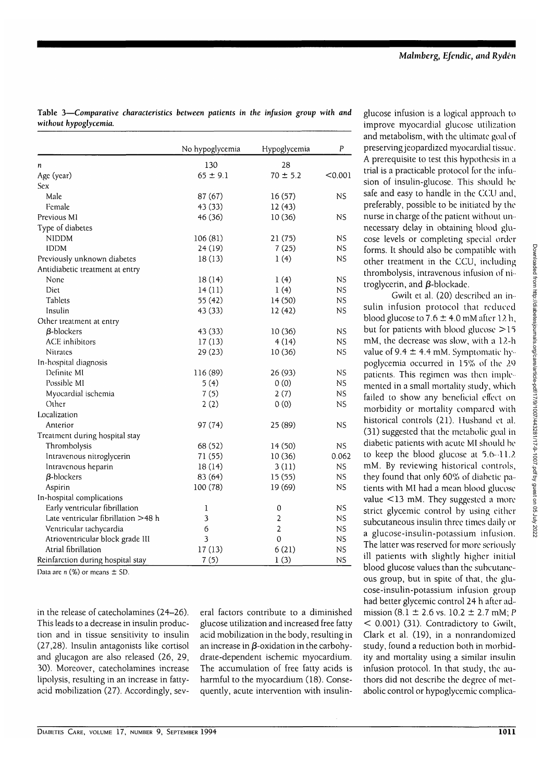|                                     | No hypoglycemia | Hypoglycemia   | P         |
|-------------------------------------|-----------------|----------------|-----------|
| n                                   | 130             | 28             |           |
| Age (year)                          | $65 \pm 9.1$    | $70 \pm 5.2$   | < 0.001   |
| Sex                                 |                 |                |           |
| Male                                | 87 (67)         | 16(57)         | NS        |
| Female                              | 43 (33)         | 12(43)         |           |
| Previous MI                         | 46 (36)         | 10(36)         | NS        |
| Type of diabetes                    |                 |                |           |
| <b>NIDDM</b>                        | 106 (81)        | 21(75)         | NS        |
| <b>IDDM</b>                         | 24 (19)         | 7(25)          | NS.       |
| Previously unknown diabetes         | 18(13)          | 1(4)           | <b>NS</b> |
| Antidiabetic treatment at entry     |                 |                |           |
| None                                | 18(14)          | 1(4)           | <b>NS</b> |
| Diet                                | 14(11)          | 1(4)           | <b>NS</b> |
| Tablets                             | 55 (42)         | 14(50)         | <b>NS</b> |
| Insulin                             | 43 (33)         | 12(42)         | NS        |
| Other treatment at entry            |                 |                |           |
| $\beta$ -blockers                   | 43 (33)         | 10(36)         | NS        |
| <b>ACE</b> inhibitors               | 17(13)          | 4(14)          | <b>NS</b> |
| Nitrates                            | 29(23)          | 10(36)         | <b>NS</b> |
| In-hospital diagnosis               |                 |                |           |
| Definite MI                         | 116 (89)        | 26 (93)        | <b>NS</b> |
| Possible MI                         | 5(4)            | 0(0)           | <b>NS</b> |
| Myocardial ischemia                 | 7(5)            | 2(7)           | <b>NS</b> |
| Other                               | 2(2)            | 0(0)           | <b>NS</b> |
| Localization                        |                 |                |           |
| Anterior                            | 97 (74)         | 25 (89)        | <b>NS</b> |
| Treatment during hospital stay      |                 |                |           |
| Thrombolysis                        | 68 (52)         | 14(50)         | NS.       |
| Intravenous nitroglycerin           | 71 (55)         | 10(36)         | 0.062     |
| Intravenous heparin                 | 18(14)          | 3(11)          | NS        |
| $\beta$ -blockers                   | 83 (64)         | 15 (55)        | NS        |
| Aspirin                             | 100 (78)        | 19 (69)        | <b>NS</b> |
| In-hospital complications           |                 |                |           |
| Early ventricular fibrillation      | 1               | 0              | <b>NS</b> |
| Late ventricular fibrillation >48 h | 3               | $\overline{2}$ | <b>NS</b> |
| Ventricular tachycardia             | 6               | $\overline{2}$ | <b>NS</b> |
| Atrioventricular block grade III    | 3               | $\mathbf 0$    | <b>NS</b> |
| Atrial fibrillation                 | 17(13)          | 6(21)          | <b>NS</b> |
| Reinfarction during hospital stay   | 7(5)            | 1(3)           | <b>NS</b> |

Table 3—*Comparative characteristics between patients in the infusion group with and without hypoglycemia.*

Data are  $n$  (%) or means  $\pm$  SD.

in the release of catecholamines (24-26). This leads to a decrease in insulin production and in tissue sensitivity to insulin (27,28). Insulin antagonists like cortisol and glucagon are also released (26, 29, 30). Moreover, catecholamines increase lipolysis, resulting in an increase in fattyacid mobilization (27). Accordingly, several factors contribute to a diminished glucose utilization and increased free fatty acid mobilization in the body, resulting in an increase in  $\beta$ -oxidation in the carbohydrate-dependent ischemic myocardium. The accumulation of free fatty acids is harmful to the myocardium (18). Consequently, acute intervention with insulinglucose infusion is a logical approach to improve myocardial glucose utilization and metabolism, with the ultimate goal of preserving jeopardized myocardial tissue. A prerequisite to test this hypothesis in a trial is a practicable protocol for the infusion of insulin-glucose. This should be safe and easy to handle in the CCU and, preferably, possible to be initiated by the nurse in charge of the patient without unnecessary delay in obtaining blood glucose levels or completing special order forms. It should also be compatible with other treatment in the CCU, including thrombolysis, intravenous infusion of nitroglycerin, and  $\beta$ -blockade.

Gwilt et al. (20) described an insulin infusion protocol that reduced blood glucose to 7.6  $\pm$  4.0 mM after 12 h, but for patients with blood glucose  $>15$ mM, the decrease was slow, with a 12-h value of 9.4  $\pm$  4.4 mM. Symptomatic hypoglycemia occurred in 15% of the 29 patients. This regimen was then implemented in a small mortality study, which failed to show any beneficial effect on morbidity or mortality compared with historical controls (21). Husband et al. (31) suggested that the metabolic goal in diabetic patients with acute Ml should be to keep the blood glucose at 5.6-11.2 mM. By reviewing historical controls, they found that only 60% of diabetic patients with MI had a mean blood glucose value <13 mM. They suggested a more strict glycemic control by using either subcutaneous insulin three times daily or a glucose-insulin-potassium infusion. The latter was reserved for more seriously ill patients with slightly higher initial blood glucose values than the subcutaneous group, but in spite of that, the glucose-insulin-potassium infusion group had better glycemic control 24 h after admission (8.1  $\pm$  2.6 vs. 10.2  $\pm$  2.7 mM; P  $<$  0.001) (31). Contradictory to Gwilt, Clark et al. (19), in a nonrandomized study, found a reduction both in morbidity and mortality using a similar insulin infusion protocol. In that study, the authors did not describe the degree of metabolic control or hypoglycemic complica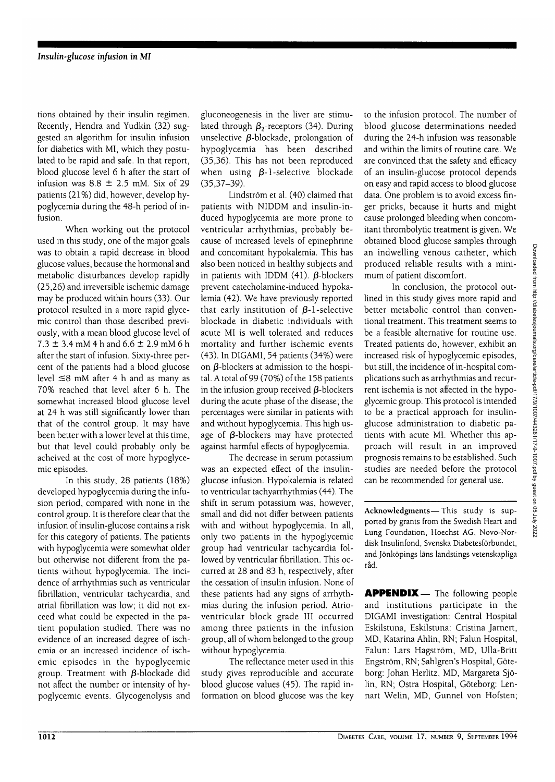tions obtained by their insulin regimen. Recently, Hendra and Yudkin (32) suggested an algorithm for insulin infusion for diabetics with MI, which they postulated to be rapid and safe. In that report, blood glucose level 6 h after the start of infusion was  $8.8 \pm 2.5$  mM. Six of 29 patients (21%) did, however, develop hypoglycemia during the 48-h period of infusion.

When working out the protocol used in this study, one of the major goals was to obtain a rapid decrease in blood glucose values, because the hormonal and metabolic disturbances develop rapidly (25,26) and irreversible ischemic damage may be produced within hours (33). Our protocol resulted in a more rapid glycemic control than those described previously, with a mean blood glucose level of 7.3 ± 3.4 mM 4 h and 6.6 ± 2.9 mM 6 h after the start of infusion. Sixty-three percent of the patients had a blood glucose level  $\leq 8$  mM after 4 h and as many as 70% reached that level after 6 h. The somewhat increased blood glucose level at 24 h was still significantly lower than that of the control group. It may have been better with a lower level at this time, but that level could probably only be acheived at the cost of more hypoglycemic episodes.

In this study, 28 patients (18%) developed hypoglycemia during the infusion period, compared with none in the control group. It is therefore clear that the infusion of insulin-glucose contains a risk for this category of patients. The patients with hypoglycemia were somewhat older but otherwise not different from the patients without hypoglycemia. The incidence of arrhythmias such as ventricular fibrillation, ventricular tachycardia, and atrial fibrillation was low; it did not exceed what could be expected in the patient population studied. There was no evidence of an increased degree of ischemia or an increased incidence of ischemic episodes in the hypoglycemic group. Treatment with  $\beta$ -blockade did not affect the number or intensity of hypoglycemic events. Glycogenolysis and

gluconeogenesis in the liver are stimulated through  $\beta_2$ -receptors (34). During unselective  $\beta$ -blockade, prolongation of hypoglycemia has been described (35,36). This has not been reproduced when using  $\beta$ -1-selective blockade (35,37-39).

Lindström et al. (40) claimed that patients with NIDDM and insulin-induced hypoglycemia are more prone to ventricular arrhythmias, probably because of increased levels of epinephrine and concomitant hypokalemia. This has also been noticed in healthy subjects and in patients with IDDM  $(41)$ .  $\beta$ -blockers prevent catecholamine-induced hypokalemia (42). We have previously reported that early institution of  $\beta$ -1-selective blockade in diabetic individuals with acute MI is well tolerated and reduces mortality and further ischemic events (43). In DIGAMI, 54 patients (34%) were on  $\beta$ -blockers at admission to the hospital. A total of 99 (70%) of the 158 patients in the infusion group received  $\beta$ -blockers during the acute phase of the disease; the percentages were similar in patients with and without hypoglycemia. This high usage of  $\beta$ -blockers may have protected against harmful effects of hypoglycemia.

The decrease in serum potassium was an expected effect of the insulinglucose infusion. Hypokalemia is related to ventricular tachyarrhythmias (44). The shift in serum potassium was, however, small and did not differ between patients with and without hypoglycemia. In all, only two patients in the hypoglycemic group had ventricular tachycardia followed by ventricular fibrillation. This occurred at 28 and 83 h, respectively, after the cessation of insulin infusion. None of these patients had any signs of arrhythmias during the infusion period. Atrioventricular block grade III occurred among three patients in the infusion group, all of whom belonged to the group without hypoglycemia.

The reflectance meter used in this study gives reproducible and accurate blood glucose values (45). The rapid information on blood glucose was the key

to the infusion protocol. The number of blood glucose determinations needed during the 24-h infusion was reasonable and within the limits of routine care. We are convinced that the safety and efficacy of an insulin-glucose protocol depends on easy and rapid access to blood glucose data. One problem is to avoid excess finger pricks, because it hurts and might cause prolonged bleeding when concomitant thrombolytic treatment is given. We obtained blood glucose samples through an indwelling venous catheter, which produced reliable results with a minimum of patient discomfort.

In conclusion, the protocol outlined in this study gives more rapid and better metabolic control than conventional treatment. This treatment seems to be a feasible alternative for routine use. Treated patients do, however, exhibit an increased risk of hypoglycemic episodes, but still, the incidence of in-hospital complications such as arrhythmias and recurrent ischemia is not affected in the hypoglycemic group. This protocol is intended to be a practical approach for insulinglucose administration to diabetic patients with acute MI. Whether this approach will result in an improved prognosis remains to be established. Such studies are needed before the protocol can be recommended for general use.

Acknowledgments—This study is supported by grants from the Swedish Heart and Lung Foundation, Hoechst AG, Novo-Nordisk Insulinfond, Svenska Diabetesforbundet, and Jonkopings lans landstings vetenskapliga rad.

**APPENDIX**— The following people and institutions participate in the DIGAMI investigation: Central Hospital Eskilstuna, Eskilstuna: Cristina Jarnert, MD, Katarina Ahlin, RN; Falun Hospital, Falun: Lars Hagstrom, MD, Ulla-Britt Engstrom, RN; Sahlgren's Hospital, Goteborg: Johan Herlitz, MD, Margareta Sjolin, RN; Ostra Hospital, Goteborg: Lennart Welin, MD, Gunnel von Hofsten;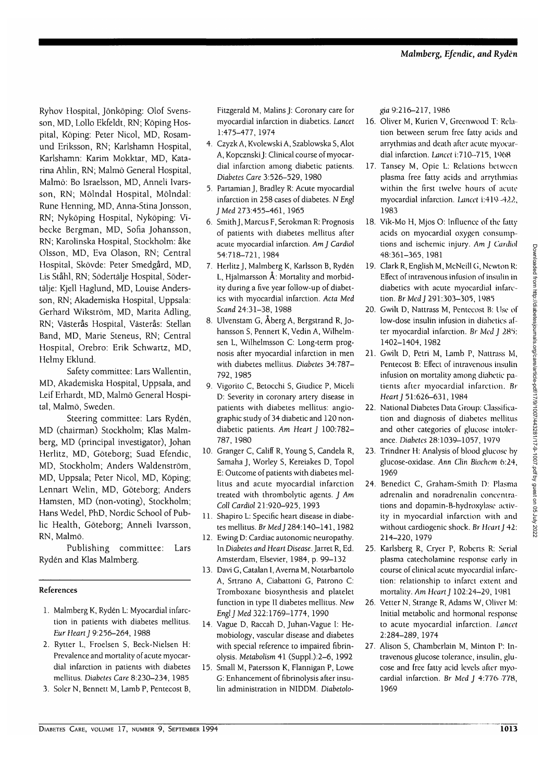Ryhov Hospital, Jonkoping: Olof Svensson, MD, Lollo Ekfeldt, RN; Koping Hospital, Koping: Peter Nicol, MD, Rosamund Eriksson, RN; Karlshamn Hospital, Karlshamn: Karim Mokktar, MD, Katarina Ahlin, RN; Malmö General Hospital, Malmo: Bo Israelsson, MD, Anneli Ivarsson, RN; Molndal Hospital, Molndal: Rune Henning, MD, Anna-Stina Jonsson, RN; Nykoping Hospital, Nykoping: Vibecke Bergman, MD, Sofia Johansson, RN; Karolinska Hospital, Stockholm: ake Olsson, MD, Eva Olason, RN; Central Hospital, Skövde: Peter Smedgård, MD, Lis Stahl, RN; Sodertalje Hospital, Sodertalje: Kjell Haglund, MD, Louise Andersson, RN; Akademiska Hospital, Uppsala: Gerhard Wikström, MD, Marita Adling, RN; Västerås Hospital, Västerås: Stellan Band, MD, Marie Steneus, RN; Central Hospital, Orebro: Erik Schwartz, MD, Helmy Eklund.

Safety committee: Lars Wallentin, MD, Akademiska Hospital, Uppsala, and Leif Erhardt, MD, Malmö General Hospital, Malmö, Sweden.

Steering committee: Lars Ryden, MD (chairman) Stockholm; Klas Malmberg, MD (principal investigator), Johan Herlitz, MD, Goteborg; Suad Efendic, MD, Stockholm; Anders Waldenström, MD, Uppsala; Peter Nicol, MD, Koping; Lennart Welin, MD, Goteborg; Anders Hamsten, MD (non-voting), Stockholm; Hans Wedel, PhD, Nordic School of Public Health, Goteborg; Anneli Ivarsson, RN, Malmo.

Publishing committee: Lars Ryden and Klas Malmberg.

## References

- 1. Malmberg K, Ryden L: Myocardial infarction in patients with diabetes mellitus. Eur *Heart]* 9:256-264, 1988
- 2. Rytter L, Froelsen S, Beck-Nielsen H: Prevalence and mortality of acute myocardial infarction in patients with diabetes mellitus. *Diabetes Care* 8:230-234, 1985
- 3. Soler N, Bennett M, Lamb P, Pentecost B,

Fitzgerald M, Malins J: Coronary care for myocardial infarction in diabetics. *Lancet* 1:475-477, 1974

- 4. Czyzk A, Kvolewski A, Szablowska S, Alot A, Kopcznski J: Clinical course of myocardial infarction among diabetic patients. *Diabetes Care* 3:526-529,1980
- 5. Partamian J, Bradley R: Acute myocardial infarction in 258 cases of diabetes. *N* Engl *JMed* 273:455-461, 1965
- 6. Smith J, Marcus F, Serokman R: Prognosis of patients with diabetes mellitus after acute myocardial infarction. *Am] Cardiol* 54:718-721, 1984
- 7. Herlitz J, Malmberg K, Karlsson B, Ryden L, Hjalmarsson A: Mortality and morbidity during a five year follow-up of diabetics with myocardial infarction. *Acta Med Scand* 24:31-38, 1988
- 8. Ulvenstam G, Aberg A, Bergstrand R, Johansson S, Pennert K, Vedin A, Wilhelmsen L, Wilhelmsson C: Long-term prognosis after myocardial infarction in men with diabetes mellitus. *Diabetes* 34:787- 792,1985
- 9. Vigorito C, Betocchi S, Giudice P, Miceli D: Severity in coronary artery disease in patients with diabetes mellitus: angiographic study of 34 diabetic and 120 nondiabetic patients. Am *Heart J* 100:782- 787,1980
- 10. Granger C, Califf R, Young S, Candela R, Samaha J, Worley S, Kereiakes D, Topol E: Outcome of patients with diabetes mellitus and acute myocardial infarction treated with thrombolytic agents. J *Am Coll Cardiol* 21:920-925, 1993
- 11. Shapiro L: Specific heart disease in diabetes mellitus. *BrMed]* 284:140-141, 1982
- 12. Ewing D: Cardiac autonomic neuropathy. In *Diabetes and Heart Disease.* Jarret R, Ed. Amsterdam, Elsevier, 1984, p. 99-132
- 13. Davi G, Catalan I, Averna M, Notarbartolo A, Srtrano A, Ciabattoni G, Patrono C: Tromboxane biosynthesis and platelet function in type II diabetes mellitus. *New* Engl J Med 322:1769-1774, 1990
- 14. Vague D, Raccah D, Juhan-Vague I: Hemobiology, vascular disease and diabetes with special reference to impaired fibrinolysis. *Metabolism* 41 (Suppl.):2-6, 1992
- 15. Small M, Patersson K, Flannigan P, Lowe G: Enhancement of fibrinolysis after insulin administration in NIDDM. *Diabetolo-*

*gia* 9:216-217, 1986

- 16. Oliver M, Kurien V, Greenwood T: Relation between serum free fatty acids and arrythmias and death after acute myocardial infarction. Lancet i:710-715, 1968
- 17. Tansey M, Opie L: Relations between plasma free fatty acids and arrythmias within the first twelve hours of acute myocardial infarction. *Lancet* i:419-422, 1983
- 18. Vik-Mo H, Mjos O: Influence of the fatty acids on myocardial oxygen consumptions and ischemic injury. *Am J Cardiol* 48:361-365, 1981
- 19. Clark R, English M, McNeill G, Newton R: Effect of intravenous infusion of insulin in diabetics with acute myocardial infarction. *BrMed]* 291:303-305, 1985
- 20. Gwilt D, Nattrass M, Pentecost B: Use of low-dose insulin infusion in diabetics after myocardial infarction. Br Med J 285: 1402-1404, 1982
- 21. Gwilt D, Petri M, Lamb P, Nattrass M, Pentecost B: Effect of intravenous insulin infusion on mortality among diabetic patients after myocardial infarction. Br *Heart]* 51:626-631, 1984
- 22. National Diabetes Data Group: Classification and diagnosis of diabetes mellitus and other categories of glucose intolerance. *Diabetes* 28:1039-1057, 1979
- 23. Trindner H: Analysis of blood glucose by glucose-oxidase. *Ann Clin Biochem* 6:24, 1969
- 24. Benedict C, Graham-Smith D: Plasma adrenalin and noradrenalin concentrations and dopamin-B-hydroxylase activity in myocardial infarction with and without cardiogenic shock. *Br Heart]* 42: 214-220, 1979
- 25. Karlsberg R, Cryer P, Roberts R: Serial plasma catecholamine response early in course of clinical acute myocardial infarction: relationship to infarct extent and mortality. *Am Heart]* 102:24-29, 1981
- 26. Vetter N, Strange R, Adams W, Oliver M: Initial metabolic and hormonal response to acute myocardial infarction. *Lancet* 2:284-289, 1974
- 27. Alison S, Chamberlain M, Minton P: Intravenous glucose tolerance, insulin, glucose and free fatty acid levels after myocardial infarction. *Br Med J* 4:776-778, 1969